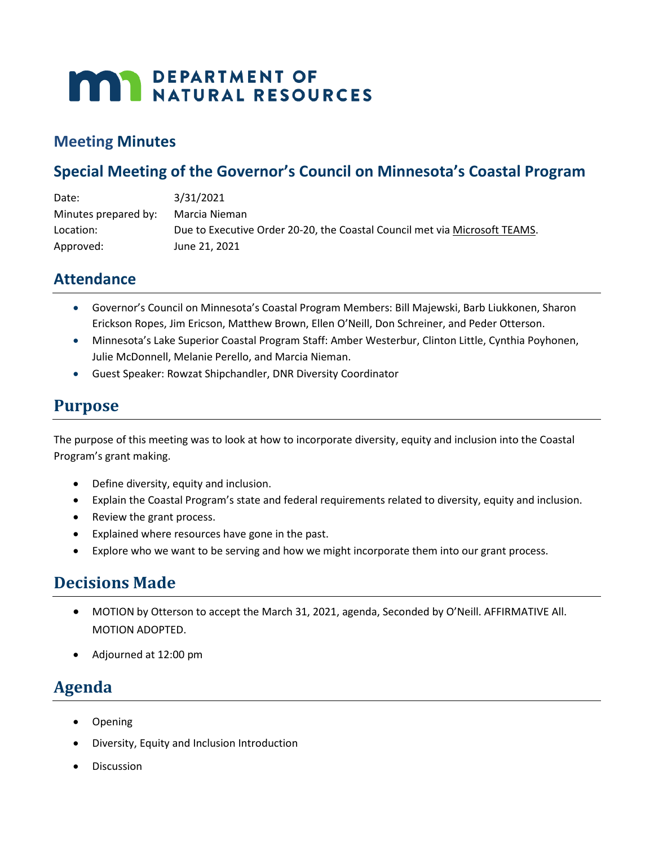# **MAY DEPARTMENT OF NATURAL RESOURCES**

#### **Meeting Minutes**

## **Special Meeting of the Governor's Council on Minnesota's Coastal Program**

| Date:                | 3/31/2021                                                                  |
|----------------------|----------------------------------------------------------------------------|
| Minutes prepared by: | Marcia Nieman                                                              |
| Location:            | Due to Executive Order 20-20, the Coastal Council met via Microsoft TEAMS. |
| Approved:            | June 21, 2021                                                              |

### **Attendance**

- Governor's Council on Minnesota's Coastal Program Members: Bill Majewski, Barb Liukkonen, Sharon Erickson Ropes, Jim Ericson, Matthew Brown, Ellen O'Neill, Don Schreiner, and Peder Otterson.
- Minnesota's Lake Superior Coastal Program Staff: Amber Westerbur, Clinton Little, Cynthia Poyhonen, Julie McDonnell, Melanie Perello, and Marcia Nieman.
- Guest Speaker: Rowzat Shipchandler, DNR Diversity Coordinator

## **Purpose**

The purpose of this meeting was to look at how to incorporate diversity, equity and inclusion into the Coastal Program's grant making.

- Define diversity, equity and inclusion.
- Explain the Coastal Program's state and federal requirements related to diversity, equity and inclusion.
- Review the grant process.
- Explained where resources have gone in the past.
- Explore who we want to be serving and how we might incorporate them into our grant process.

# **Decisions Made**

- MOTION by Otterson to accept the March 31, 2021, agenda, Seconded by O'Neill. AFFIRMATIVE All. MOTION ADOPTED.
- Adjourned at 12:00 pm

# **Agenda**

- Opening
- Diversity, Equity and Inclusion Introduction
- **Discussion**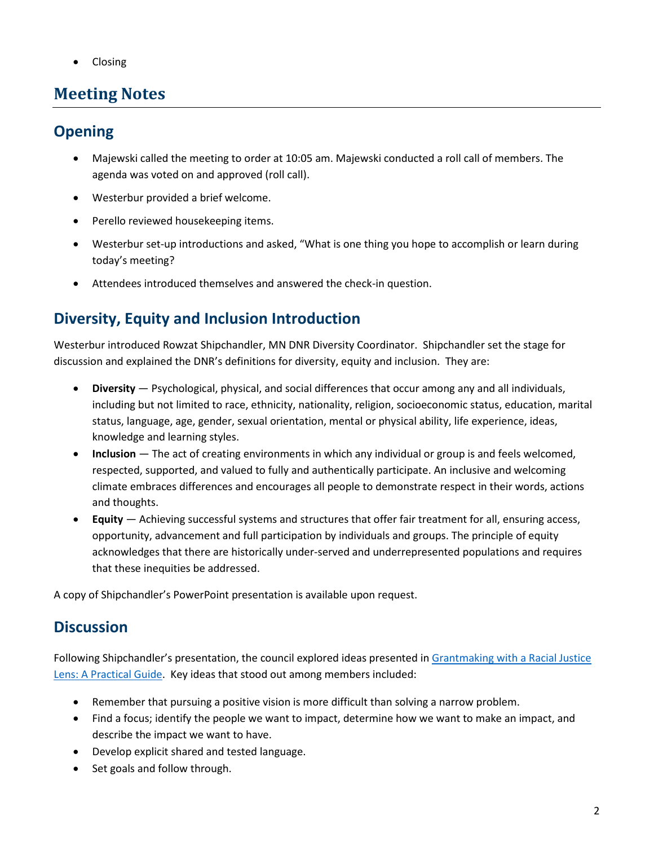• Closing

## **Meeting Notes**

## **Opening**

- Majewski called the meeting to order at 10:05 am. Majewski conducted a roll call of members. The agenda was voted on and approved (roll call).
- Westerbur provided a brief welcome.
- Perello reviewed housekeeping items.
- Westerbur set-up introductions and asked, "What is one thing you hope to accomplish or learn during today's meeting?
- Attendees introduced themselves and answered the check-in question.

# **Diversity, Equity and Inclusion Introduction**

Westerbur introduced Rowzat Shipchandler, MN DNR Diversity Coordinator. Shipchandler set the stage for discussion and explained the DNR's definitions for diversity, equity and inclusion. They are:

- **Diversity** Psychological, physical, and social differences that occur among any and all individuals, including but not limited to race, ethnicity, nationality, religion, socioeconomic status, education, marital status, language, age, gender, sexual orientation, mental or physical ability, life experience, ideas, knowledge and learning styles.
- **Inclusion** The act of creating environments in which any individual or group is and feels welcomed, respected, supported, and valued to fully and authentically participate. An inclusive and welcoming climate embraces differences and encourages all people to demonstrate respect in their words, actions and thoughts.
- **Equity** Achieving successful systems and structures that offer fair treatment for all, ensuring access, opportunity, advancement and full participation by individuals and groups. The principle of equity acknowledges that there are historically under-served and underrepresented populations and requires that these inequities be addressed.

A copy of Shipchandler's PowerPoint presentation is available upon request.

## **Discussion**

Following Shipchandler's presentation, the council explored ideas presented i[n Grantmaking with a Racial Justice](https://racialequity.org/wp-content/uploads/2020/01/GWARJL_15.pdf)  [Lens: A Practical Guide.](https://racialequity.org/wp-content/uploads/2020/01/GWARJL_15.pdf) Key ideas that stood out among members included:

- Remember that pursuing a positive vision is more difficult than solving a narrow problem.
- Find a focus; identify the people we want to impact, determine how we want to make an impact, and describe the impact we want to have.
- Develop explicit shared and tested language.
- Set goals and follow through.